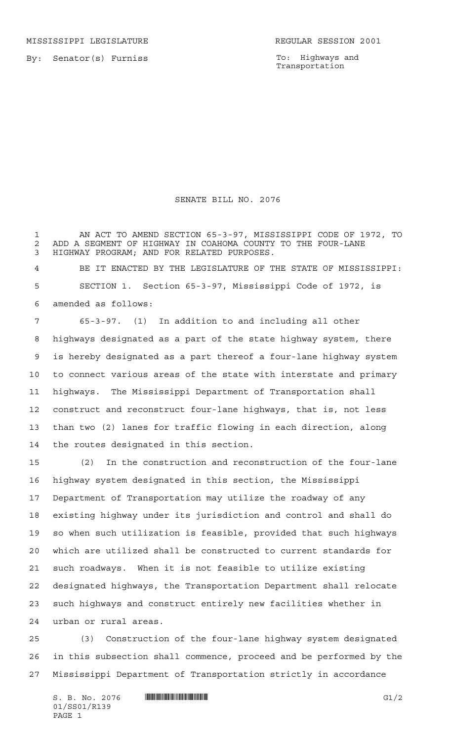MISSISSIPPI LEGISLATURE **REGULAR SESSION 2001** 

By: Senator(s) Furniss

To: Highways and Transportation

## SENATE BILL NO. 2076

 AN ACT TO AMEND SECTION 65-3-97, MISSISSIPPI CODE OF 1972, TO 2 ADD A SEGMENT OF HIGHWAY IN COAHOMA COUNTY TO THE FOUR-LANE<br>3 HIGHWAY PROGRAM: AND FOR RELATED PURPOSES. HIGHWAY PROGRAM; AND FOR RELATED PURPOSES.

 BE IT ENACTED BY THE LEGISLATURE OF THE STATE OF MISSISSIPPI: SECTION 1. Section 65-3-97, Mississippi Code of 1972, is amended as follows:

 65-3-97. (1) In addition to and including all other highways designated as a part of the state highway system, there is hereby designated as a part thereof a four-lane highway system to connect various areas of the state with interstate and primary highways. The Mississippi Department of Transportation shall construct and reconstruct four-lane highways, that is, not less than two (2) lanes for traffic flowing in each direction, along the routes designated in this section.

 (2) In the construction and reconstruction of the four-lane highway system designated in this section, the Mississippi Department of Transportation may utilize the roadway of any existing highway under its jurisdiction and control and shall do so when such utilization is feasible, provided that such highways which are utilized shall be constructed to current standards for such roadways. When it is not feasible to utilize existing designated highways, the Transportation Department shall relocate such highways and construct entirely new facilities whether in urban or rural areas.

 (3) Construction of the four-lane highway system designated in this subsection shall commence, proceed and be performed by the Mississippi Department of Transportation strictly in accordance

 $S. B. No. 2076$  **\*Software and the set of the set of the set of the set of the set of the set of the set of the set of the set of the set of the set of the set of the set of the set of the set of the set of the set of the s** 01/SS01/R139 PAGE 1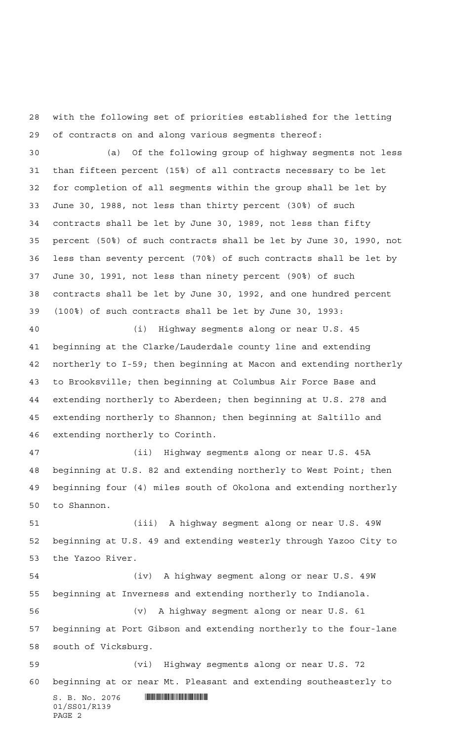with the following set of priorities established for the letting of contracts on and along various segments thereof:

 (a) Of the following group of highway segments not less than fifteen percent (15%) of all contracts necessary to be let for completion of all segments within the group shall be let by June 30, 1988, not less than thirty percent (30%) of such contracts shall be let by June 30, 1989, not less than fifty percent (50%) of such contracts shall be let by June 30, 1990, not less than seventy percent (70%) of such contracts shall be let by June 30, 1991, not less than ninety percent (90%) of such contracts shall be let by June 30, 1992, and one hundred percent (100%) of such contracts shall be let by June 30, 1993:

 (i) Highway segments along or near U.S. 45 beginning at the Clarke/Lauderdale county line and extending northerly to I-59; then beginning at Macon and extending northerly to Brooksville; then beginning at Columbus Air Force Base and extending northerly to Aberdeen; then beginning at U.S. 278 and extending northerly to Shannon; then beginning at Saltillo and extending northerly to Corinth.

 (ii) Highway segments along or near U.S. 45A beginning at U.S. 82 and extending northerly to West Point; then beginning four (4) miles south of Okolona and extending northerly to Shannon.

 (iii) A highway segment along or near U.S. 49W beginning at U.S. 49 and extending westerly through Yazoo City to the Yazoo River.

 (iv) A highway segment along or near U.S. 49W beginning at Inverness and extending northerly to Indianola. (v) A highway segment along or near U.S. 61 beginning at Port Gibson and extending northerly to the four-lane south of Vicksburg. (vi) Highway segments along or near U.S. 72 beginning at or near Mt. Pleasant and extending southeasterly to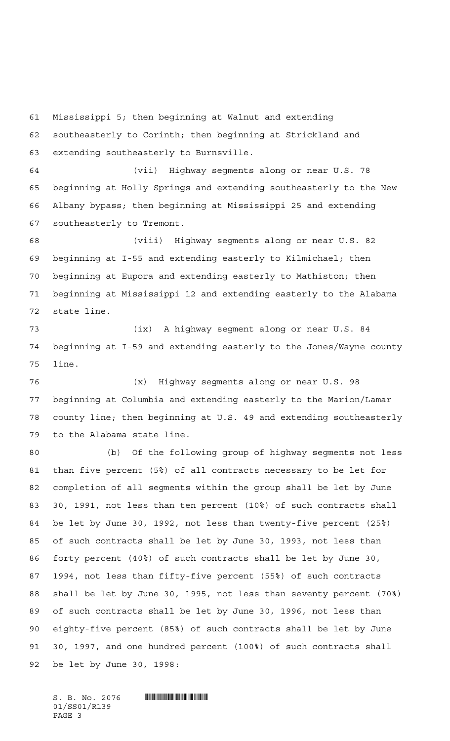Mississippi 5; then beginning at Walnut and extending southeasterly to Corinth; then beginning at Strickland and extending southeasterly to Burnsville.

 (vii) Highway segments along or near U.S. 78 beginning at Holly Springs and extending southeasterly to the New Albany bypass; then beginning at Mississippi 25 and extending southeasterly to Tremont.

 (viii) Highway segments along or near U.S. 82 beginning at I-55 and extending easterly to Kilmichael; then beginning at Eupora and extending easterly to Mathiston; then beginning at Mississippi 12 and extending easterly to the Alabama state line.

 (ix) A highway segment along or near U.S. 84 beginning at I-59 and extending easterly to the Jones/Wayne county line.

 (x) Highway segments along or near U.S. 98 beginning at Columbia and extending easterly to the Marion/Lamar county line; then beginning at U.S. 49 and extending southeasterly to the Alabama state line.

 (b) Of the following group of highway segments not less than five percent (5%) of all contracts necessary to be let for completion of all segments within the group shall be let by June 30, 1991, not less than ten percent (10%) of such contracts shall be let by June 30, 1992, not less than twenty-five percent (25%) of such contracts shall be let by June 30, 1993, not less than forty percent (40%) of such contracts shall be let by June 30, 1994, not less than fifty-five percent (55%) of such contracts shall be let by June 30, 1995, not less than seventy percent (70%) of such contracts shall be let by June 30, 1996, not less than eighty-five percent (85%) of such contracts shall be let by June 30, 1997, and one hundred percent (100%) of such contracts shall be let by June 30, 1998: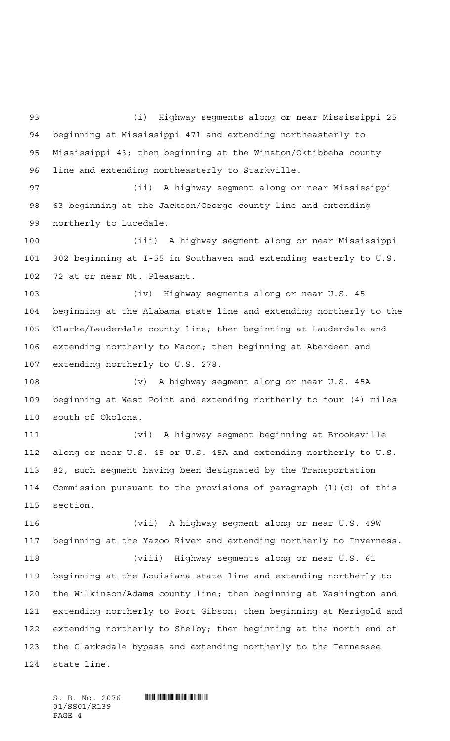(i) Highway segments along or near Mississippi 25 beginning at Mississippi 471 and extending northeasterly to Mississippi 43; then beginning at the Winston/Oktibbeha county line and extending northeasterly to Starkville. (ii) A highway segment along or near Mississippi

 63 beginning at the Jackson/George county line and extending northerly to Lucedale.

 (iii) A highway segment along or near Mississippi 302 beginning at I-55 in Southaven and extending easterly to U.S. 72 at or near Mt. Pleasant.

 (iv) Highway segments along or near U.S. 45 beginning at the Alabama state line and extending northerly to the Clarke/Lauderdale county line; then beginning at Lauderdale and extending northerly to Macon; then beginning at Aberdeen and extending northerly to U.S. 278.

 (v) A highway segment along or near U.S. 45A beginning at West Point and extending northerly to four (4) miles south of Okolona.

 (vi) A highway segment beginning at Brooksville along or near U.S. 45 or U.S. 45A and extending northerly to U.S. 82, such segment having been designated by the Transportation Commission pursuant to the provisions of paragraph (1)(c) of this section.

 (vii) A highway segment along or near U.S. 49W beginning at the Yazoo River and extending northerly to Inverness.

 (viii) Highway segments along or near U.S. 61 beginning at the Louisiana state line and extending northerly to the Wilkinson/Adams county line; then beginning at Washington and extending northerly to Port Gibson; then beginning at Merigold and extending northerly to Shelby; then beginning at the north end of the Clarksdale bypass and extending northerly to the Tennessee state line.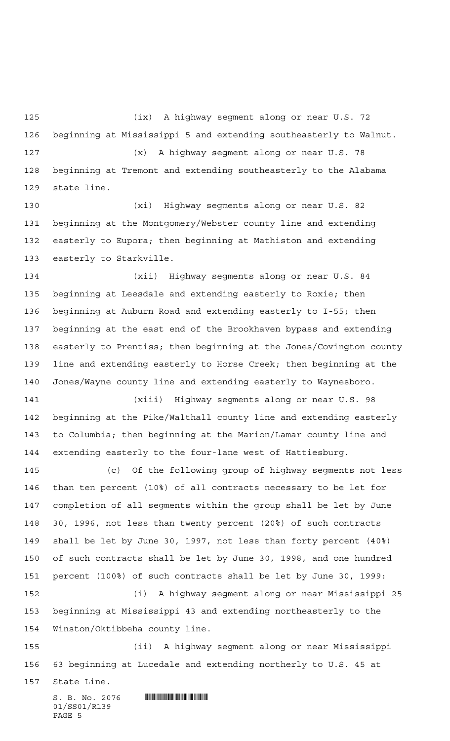(ix) A highway segment along or near U.S. 72 beginning at Mississippi 5 and extending southeasterly to Walnut. (x) A highway segment along or near U.S. 78 beginning at Tremont and extending southeasterly to the Alabama state line.

 (xi) Highway segments along or near U.S. 82 beginning at the Montgomery/Webster county line and extending easterly to Eupora; then beginning at Mathiston and extending easterly to Starkville.

 (xii) Highway segments along or near U.S. 84 beginning at Leesdale and extending easterly to Roxie; then beginning at Auburn Road and extending easterly to I-55; then beginning at the east end of the Brookhaven bypass and extending easterly to Prentiss; then beginning at the Jones/Covington county line and extending easterly to Horse Creek; then beginning at the Jones/Wayne county line and extending easterly to Waynesboro.

 (xiii) Highway segments along or near U.S. 98 beginning at the Pike/Walthall county line and extending easterly to Columbia; then beginning at the Marion/Lamar county line and extending easterly to the four-lane west of Hattiesburg.

 (c) Of the following group of highway segments not less than ten percent (10%) of all contracts necessary to be let for completion of all segments within the group shall be let by June 30, 1996, not less than twenty percent (20%) of such contracts shall be let by June 30, 1997, not less than forty percent (40%) of such contracts shall be let by June 30, 1998, and one hundred percent (100%) of such contracts shall be let by June 30, 1999: (i) A highway segment along or near Mississippi 25 beginning at Mississippi 43 and extending northeasterly to the

Winston/Oktibbeha county line.

 (ii) A highway segment along or near Mississippi 63 beginning at Lucedale and extending northerly to U.S. 45 at

State Line.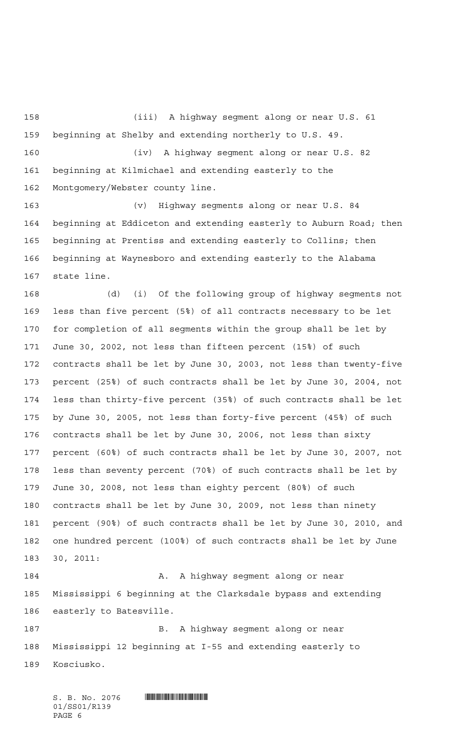(iii) A highway segment along or near U.S. 61 beginning at Shelby and extending northerly to U.S. 49. (iv) A highway segment along or near U.S. 82 beginning at Kilmichael and extending easterly to the Montgomery/Webster county line.

 (v) Highway segments along or near U.S. 84 beginning at Eddiceton and extending easterly to Auburn Road; then beginning at Prentiss and extending easterly to Collins; then beginning at Waynesboro and extending easterly to the Alabama state line.

 (d) (i) Of the following group of highway segments not less than five percent (5%) of all contracts necessary to be let for completion of all segments within the group shall be let by June 30, 2002, not less than fifteen percent (15%) of such contracts shall be let by June 30, 2003, not less than twenty-five percent (25%) of such contracts shall be let by June 30, 2004, not less than thirty-five percent (35%) of such contracts shall be let by June 30, 2005, not less than forty-five percent (45%) of such contracts shall be let by June 30, 2006, not less than sixty percent (60%) of such contracts shall be let by June 30, 2007, not less than seventy percent (70%) of such contracts shall be let by June 30, 2008, not less than eighty percent (80%) of such contracts shall be let by June 30, 2009, not less than ninety percent (90%) of such contracts shall be let by June 30, 2010, and one hundred percent (100%) of such contracts shall be let by June 30, 2011:

184 A. A highway segment along or near Mississippi 6 beginning at the Clarksdale bypass and extending easterly to Batesville.

 B. A highway segment along or near Mississippi 12 beginning at I-55 and extending easterly to Kosciusko.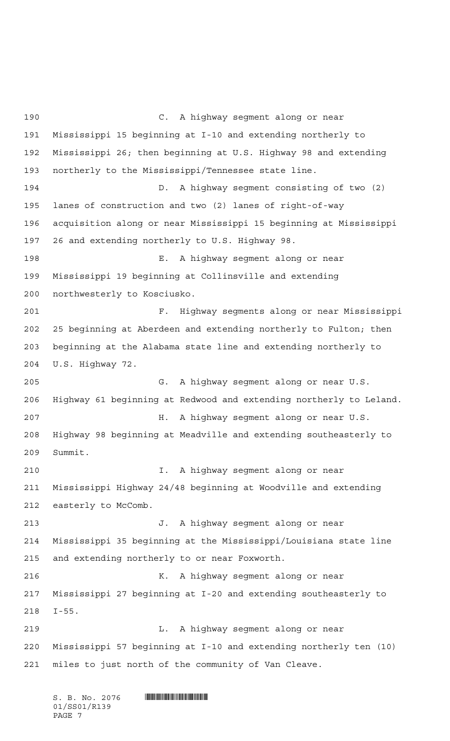C. A highway segment along or near Mississippi 15 beginning at I-10 and extending northerly to Mississippi 26; then beginning at U.S. Highway 98 and extending northerly to the Mississippi/Tennessee state line. D. A highway segment consisting of two (2) lanes of construction and two (2) lanes of right-of-way acquisition along or near Mississippi 15 beginning at Mississippi 26 and extending northerly to U.S. Highway 98. E. A highway segment along or near Mississippi 19 beginning at Collinsville and extending northwesterly to Kosciusko. F. Highway segments along or near Mississippi 25 beginning at Aberdeen and extending northerly to Fulton; then beginning at the Alabama state line and extending northerly to U.S. Highway 72. G. A highway segment along or near U.S. Highway 61 beginning at Redwood and extending northerly to Leland. H. A highway segment along or near U.S. Highway 98 beginning at Meadville and extending southeasterly to Summit. I. A highway segment along or near Mississippi Highway 24/48 beginning at Woodville and extending 212 easterly to McComb. J. A highway segment along or near Mississippi 35 beginning at the Mississippi/Louisiana state line and extending northerly to or near Foxworth. K. A highway segment along or near Mississippi 27 beginning at I-20 and extending southeasterly to I-55. L. A highway segment along or near Mississippi 57 beginning at I-10 and extending northerly ten (10) miles to just north of the community of Van Cleave.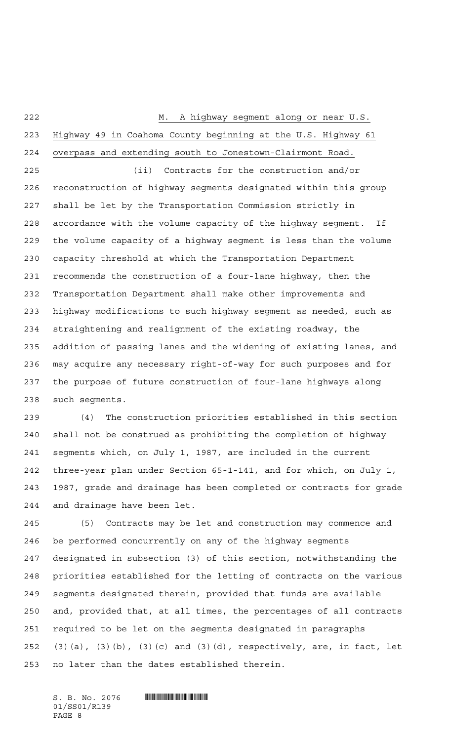M. A highway segment along or near U.S.

 Highway 49 in Coahoma County beginning at the U.S. Highway 61 overpass and extending south to Jonestown-Clairmont Road.

 (ii) Contracts for the construction and/or reconstruction of highway segments designated within this group shall be let by the Transportation Commission strictly in accordance with the volume capacity of the highway segment. If the volume capacity of a highway segment is less than the volume capacity threshold at which the Transportation Department recommends the construction of a four-lane highway, then the Transportation Department shall make other improvements and highway modifications to such highway segment as needed, such as straightening and realignment of the existing roadway, the addition of passing lanes and the widening of existing lanes, and may acquire any necessary right-of-way for such purposes and for the purpose of future construction of four-lane highways along such segments.

 (4) The construction priorities established in this section shall not be construed as prohibiting the completion of highway segments which, on July 1, 1987, are included in the current three-year plan under Section 65-1-141, and for which, on July 1, 1987, grade and drainage has been completed or contracts for grade and drainage have been let.

 (5) Contracts may be let and construction may commence and be performed concurrently on any of the highway segments designated in subsection (3) of this section, notwithstanding the priorities established for the letting of contracts on the various segments designated therein, provided that funds are available and, provided that, at all times, the percentages of all contracts required to be let on the segments designated in paragraphs (3)(a), (3)(b), (3)(c) and (3)(d), respectively, are, in fact, let no later than the dates established therein.

01/SS01/R139 PAGE 8

 $S. B. No. 2076$  .  $\blacksquare$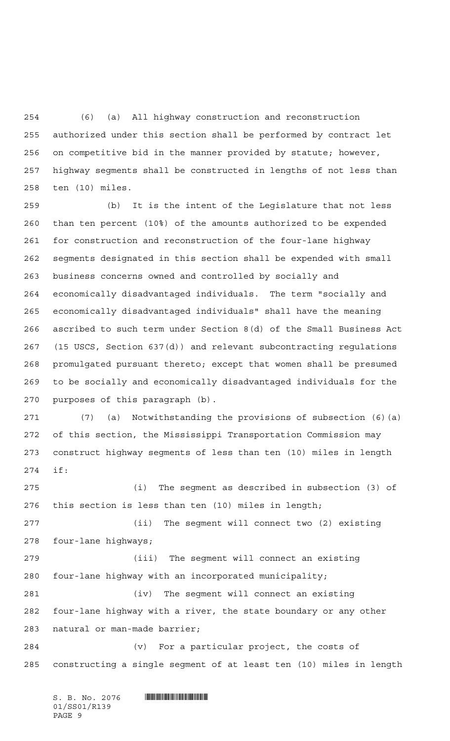(6) (a) All highway construction and reconstruction authorized under this section shall be performed by contract let on competitive bid in the manner provided by statute; however, highway segments shall be constructed in lengths of not less than ten (10) miles.

 (b) It is the intent of the Legislature that not less than ten percent (10%) of the amounts authorized to be expended for construction and reconstruction of the four-lane highway segments designated in this section shall be expended with small business concerns owned and controlled by socially and economically disadvantaged individuals. The term "socially and economically disadvantaged individuals" shall have the meaning ascribed to such term under Section 8(d) of the Small Business Act (15 USCS, Section 637(d)) and relevant subcontracting regulations promulgated pursuant thereto; except that women shall be presumed to be socially and economically disadvantaged individuals for the purposes of this paragraph (b).

 (7) (a) Notwithstanding the provisions of subsection (6)(a) of this section, the Mississippi Transportation Commission may construct highway segments of less than ten (10) miles in length if:

 (i) The segment as described in subsection (3) of this section is less than ten (10) miles in length;

 (ii) The segment will connect two (2) existing four-lane highways;

 (iii) The segment will connect an existing four-lane highway with an incorporated municipality; (iv) The segment will connect an existing four-lane highway with a river, the state boundary or any other natural or man-made barrier;

 (v) For a particular project, the costs of constructing a single segment of at least ten (10) miles in length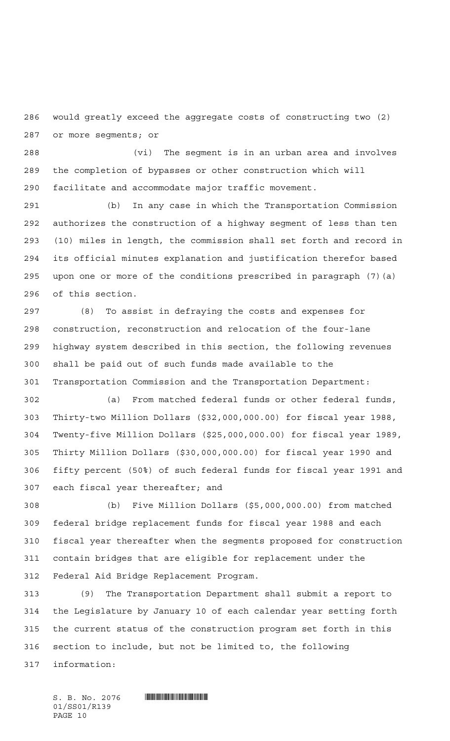would greatly exceed the aggregate costs of constructing two (2) or more segments; or

 (vi) The segment is in an urban area and involves the completion of bypasses or other construction which will facilitate and accommodate major traffic movement.

 (b) In any case in which the Transportation Commission authorizes the construction of a highway segment of less than ten (10) miles in length, the commission shall set forth and record in its official minutes explanation and justification therefor based upon one or more of the conditions prescribed in paragraph (7)(a) of this section.

 (8) To assist in defraying the costs and expenses for construction, reconstruction and relocation of the four-lane highway system described in this section, the following revenues shall be paid out of such funds made available to the Transportation Commission and the Transportation Department:

 (a) From matched federal funds or other federal funds, Thirty-two Million Dollars (\$32,000,000.00) for fiscal year 1988, Twenty-five Million Dollars (\$25,000,000.00) for fiscal year 1989, Thirty Million Dollars (\$30,000,000.00) for fiscal year 1990 and fifty percent (50%) of such federal funds for fiscal year 1991 and each fiscal year thereafter; and

 (b) Five Million Dollars (\$5,000,000.00) from matched federal bridge replacement funds for fiscal year 1988 and each fiscal year thereafter when the segments proposed for construction contain bridges that are eligible for replacement under the Federal Aid Bridge Replacement Program.

 (9) The Transportation Department shall submit a report to the Legislature by January 10 of each calendar year setting forth the current status of the construction program set forth in this section to include, but not be limited to, the following information: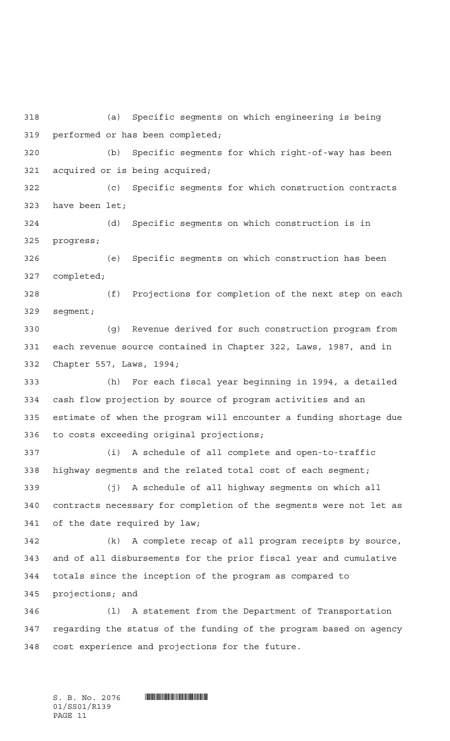(a) Specific segments on which engineering is being performed or has been completed; (b) Specific segments for which right-of-way has been acquired or is being acquired; (c) Specific segments for which construction contracts have been let; (d) Specific segments on which construction is in progress; (e) Specific segments on which construction has been completed; (f) Projections for completion of the next step on each segment; (g) Revenue derived for such construction program from each revenue source contained in Chapter 322, Laws, 1987, and in Chapter 557, Laws, 1994; (h) For each fiscal year beginning in 1994, a detailed cash flow projection by source of program activities and an estimate of when the program will encounter a funding shortage due to costs exceeding original projections; (i) A schedule of all complete and open-to-traffic highway segments and the related total cost of each segment; (j) A schedule of all highway segments on which all contracts necessary for completion of the segments were not let as of the date required by law; (k) A complete recap of all program receipts by source, and of all disbursements for the prior fiscal year and cumulative totals since the inception of the program as compared to projections; and (l) A statement from the Department of Transportation regarding the status of the funding of the program based on agency cost experience and projections for the future.

01/SS01/R139 PAGE 11

 $S.$  B. No. 2076  $\blacksquare$